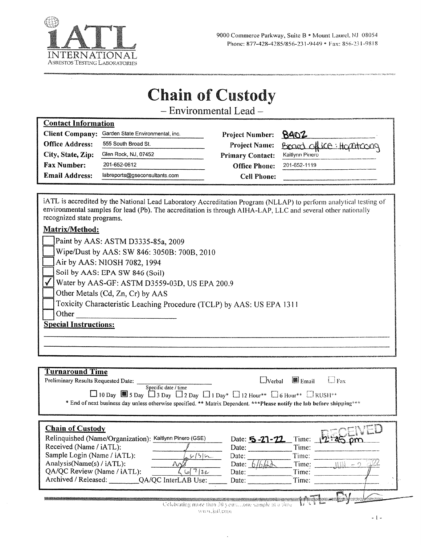

# **Chain of Custody**

- Environmental Lead-

|                        | Client Company: Garden State Environmental, inc. | Project Number: 8402    |                         |
|------------------------|--------------------------------------------------|-------------------------|-------------------------|
| <b>Office Address:</b> | 555 South Broad St.                              | <b>Project Name:</b>    | Board office: Hopatcong |
| City, State, Zip:      | Glen Rock, NJ, 07452                             | <b>Primary Contact:</b> | Kaitlynn Pinero         |
| <b>Fax Number:</b>     | 201-652-0612                                     | <b>Office Phone:</b>    | 201-652-1119            |
| <b>Email Address:</b>  | labreports@gseconsultants.com                    | <b>Cell Phone:</b>      |                         |

iATL is accredited by the National Lead Laboratory Accreditation Program (NLLAP) to perform analytical testing of environmental samples for lead (Pb). The accreditation is through AIHA-LAP, LLC and several other nationally recognized state programs.

### Matrix/Method:

≂

|                              | Paint by AAS: ASTM D3335-85a, 2009                                    |  |  |  |
|------------------------------|-----------------------------------------------------------------------|--|--|--|
|                              | Wipe/Dust by AAS: SW 846: 3050B: 700B, 2010                           |  |  |  |
|                              | Air by AAS: NIOSH 7082, 1994                                          |  |  |  |
|                              | Soil by AAS: EPA SW 846 (Soil)                                        |  |  |  |
|                              | Water by AAS-GF: ASTM D3559-03D, US EPA 200.9                         |  |  |  |
|                              | Other Metals (Cd, Zn, Cr) by AAS                                      |  |  |  |
|                              | Toxicity Characteristic Leaching Procedure (TCLP) by AAS: US EPA 1311 |  |  |  |
|                              | Other                                                                 |  |  |  |
| <b>Special Instructions:</b> |                                                                       |  |  |  |
|                              |                                                                       |  |  |  |

### **Turnaround Time**

| Preliminary Results Requested Date:<br>Specific date / time<br>$\Box$ 10 Day $\Box$ 5 Day $\Box$ 3 Day $\Box$ 2 Day $\Box$ 1 Day* $\Box$ 12 Hour** $\Box$ 6 Hour** $\Box$ RUSH**<br>* End of next business day unless otherwise specified. ** Matrix Dependent. ***Please notify the lab before shipping*** | $\Box$ Email<br>$\Box$ Verbal<br>$L$ Fax                                                                             |
|-------------------------------------------------------------------------------------------------------------------------------------------------------------------------------------------------------------------------------------------------------------------------------------------------------------|----------------------------------------------------------------------------------------------------------------------|
| <b>Chain of Custody</b><br>Relinquished (Name/Organization): Kaitlynn Pinero (GSE)<br>Received (Name / iATL):<br>Sample Login (Name / iATL):<br>9611<br>Analysis(Name(s) / iATL):<br>NN<br>617122<br>QA/QC Review (Name / iATL):<br>Archived / Released:<br>QA/QC InterLAB Use:                             | Time:<br>Date: 5-21-22<br>Time:<br>Date:<br>Time:<br>Date:<br>Time:<br>Date:<br>Time:<br>Date:<br>Time:<br>Date:     |
| www.jatt.com                                                                                                                                                                                                                                                                                                | เรากรรมและถนากเปลือนได้รวมเรื่องเป็นจะประเทศ 2015 ให้ปร<br>智慧显<br>Celebrating more than 30 yearsone sample at a time |

 $-1 -$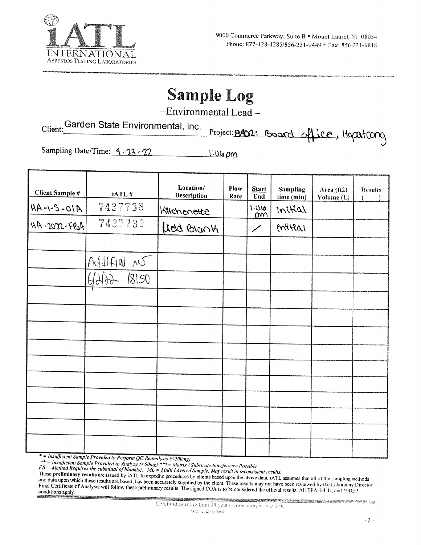

# **Sample Log**

-Environmental Lead-

Client: Garden State Environmental, inc.

Project: 8402: Board office, Hopatrong

Sampling Date/Time: 4-23-22 <u>1:04 pm</u>

| <b>Client Sample #</b> | iATL#          | Location/<br><b>Description</b> | Flow<br>Rate | <b>Start</b><br>End | <b>Sampling</b>       | Area (ft2) | <b>Results</b> |
|------------------------|----------------|---------------------------------|--------------|---------------------|-----------------------|------------|----------------|
| $A10 - 2 - 1 - AH$     | 7437738        | Kitchenette                     |              | 0011<br>pm          | time (min)<br>initial | Volume (L) |                |
| HA-2022-FBA            | 7437739        | Lierd Brank                     |              | $\diagup$           | initial               |            |                |
|                        |                |                                 |              |                     |                       |            |                |
|                        | Addified no    |                                 |              |                     |                       |            |                |
|                        | $6600 - 18150$ |                                 |              |                     |                       |            |                |
|                        |                |                                 |              |                     |                       |            |                |
|                        |                |                                 |              |                     |                       |            |                |
|                        |                |                                 |              |                     |                       |            |                |
|                        |                |                                 |              |                     |                       |            |                |
|                        |                |                                 |              |                     |                       |            |                |
|                        |                |                                 |              |                     |                       |            |                |
|                        |                | $\sim$                          |              |                     |                       |            |                |
|                        |                |                                 |              |                     |                       |            |                |
|                        |                |                                 |              |                     |                       |            |                |
|                        |                |                                 |              |                     |                       |            |                |

\* = Insufficient Sample Provided to Perform QC Reanalysis (<200mg)<br>\*\* = Insufficient Sample Provided to Analyze (<50mg) \*\*\* = Matrix / Substrate Interference Possible<br> $FB = Method$  Requires the submittal of blank(s).  $ML = Multi$  Layered

These preliminary results are issued by iATL to expedite procedures by clients based upon the above data. iATL assumes that all of the sampling methods and data upon which these results are based, has been accurately supplied by the client. These results may not have been reviewed by the Laboratory Director. Final Certificate of Analysis will follow these preliminary results. The signed COA is to be considered the official results. All EPA, HUD, and NJDEP conditions apply.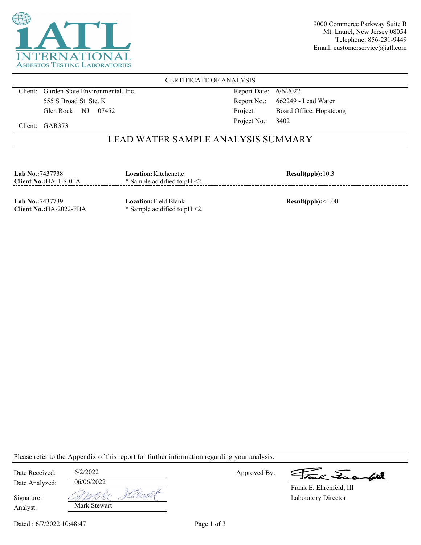

9000 Commerce Parkway Suite B Mt. Laurel, New Jersey 08054 Telephone: 856-231-9449 Email: customerservice@iatl.com

CERTIFICATE OF ANALYSIS

Client: Garden State Environmental, Inc. 555 S Broad St. Ste. K Glen Rock NJ 07452

Report Date: 6/6/2022 Report No.: 662249 - Lead Water Project: Board Office: Hopatcong Project No.: 8402

Client: GAR373

## LEAD WATER SAMPLE ANALYSIS SUMMARY

| <b>Lab No.:7437738</b><br>Client $No.:HA-1-S-01A$<br>------------------------------------ | Location:Kitchenette<br>$*$ Sample acidified to pH $\leq$ 2. | Result(ppb): 10.3 |
|-------------------------------------------------------------------------------------------|--------------------------------------------------------------|-------------------|
|                                                                                           |                                                              |                   |

**Lab No.:**7437739 **Client No.:**HA-2022-FBA **Location:**Field Blank \* Sample acidified to pH <2. **Result(ppb):**<1.00

Please refer to the Appendix of this report for further information regarding your analysis.

| Date Received:         | 6/2/2022     |      |
|------------------------|--------------|------|
| Date Analyzed:         | 06/06/2022   |      |
| Signature:<br>Analyst: | Mark Stewart | task |

Approved By:

2 Tues fort

Laboratory Director Frank E. Ehrenfeld, III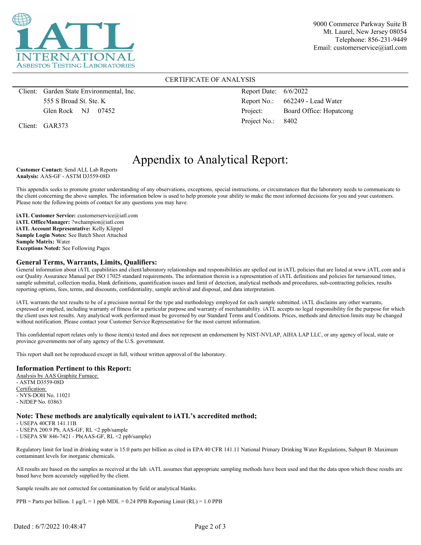

9000 Commerce Parkway Suite B Mt. Laurel, New Jersey 08054 Telephone: 856-231-9449 Email: customerservice@iatl.com

#### CERTIFICATE OF ANALYSIS

Client: Garden State Environmental, Inc. 555 S Broad St. Ste. K Glen Rock NJ 07452

Client: GAR373

Report Date: 6/6/2022 Report No.: 662249 - Lead Water Project: Board Office: Hopatcong Project No.: 8402

# Appendix to Analytical Report:

**Customer Contact:** Send ALL Lab Reports **Analysis:** AAS-GF - ASTM D3559-08D

This appendix seeks to promote greater understanding of any observations, exceptions, special instructions, or circumstances that the laboratory needs to communicate to the client concerning the above samples. The information below is used to help promote your ability to make the most informed decisions for you and your customers. Please note the following points of contact for any questions you may have.

**iATL Customer Service:** customerservice@iatl.com **iATL OfficeManager:** ?wchampion@iatl.com **iATL Account Representative:** Kelly Klippel **Sample Login Notes:** See Batch Sheet Attached **Sample Matrix:** Water **Exceptions Noted:** See Following Pages

#### **General Terms, Warrants, Limits, Qualifiers:**

General information about iATL capabilities and client/laboratory relationships and responsibilities are spelled out in iATL policies that are listed at www.iATL.com and in our Quality Assurance Manual per ISO 17025 standard requirements. The information therein is a representation of iATL definitions and policies for turnaround times, sample submittal, collection media, blank definitions, quantification issues and limit of detection, analytical methods and procedures, sub-contracting policies, results reporting options, fees, terms, and discounts, confidentiality, sample archival and disposal, and data interpretation.

iATL warrants the test results to be of a precision normal for the type and methodology employed for each sample submitted. iATL disclaims any other warrants, expressed or implied, including warranty of fitness for a particular purpose and warranty of merchantability. iATL accepts no legal responsibility for the purpose for which the client uses test results. Any analytical work performed must be governed by our Standard Terms and Conditions. Prices, methods and detection limits may be changed without notification. Please contact your Customer Service Representative for the most current information.

This confidential report relates only to those item(s) tested and does not represent an endorsement by NIST-NVLAP, AIHA LAP LLC, or any agency of local, state or province governments nor of any agency of the U.S. government.

This report shall not be reproduced except in full, without written approval of the laboratory.

#### **Information Pertinent to this Report:**

Analysis by AAS Graphite Furnace: - ASTM D3559-08D Certification: - NYS-DOH No. 11021 - NJDEP No. 03863

#### **Note: These methods are analytically equivalent to iATL's accredited method;**

- USEPA 40CFR 141.11B

- USEPA 200.9 Pb, AAS-GF, RL <2 ppb/sample

- USEPA SW 846-7421 - Pb(AAS-GF, RL <2 ppb/sample)

Regulatory limit for lead in drinking water is 15.0 parts per billion as cited in EPA 40 CFR 141.11 National Primary Drinking Water Regulations, Subpart B: Maximum contaminant levels for inorganic chemicals.

All results are based on the samples as received at the lab. iATL assumes that appropriate sampling methods have been used and that the data upon which these results are based have been accurately supplied by the client.

Sample results are not corrected for contamination by field or analytical blanks.

PPB = Parts per billion. 1  $\mu$ g/L = 1 ppb MDL = 0.24 PPB Reporting Limit (RL) = 1.0 PPB